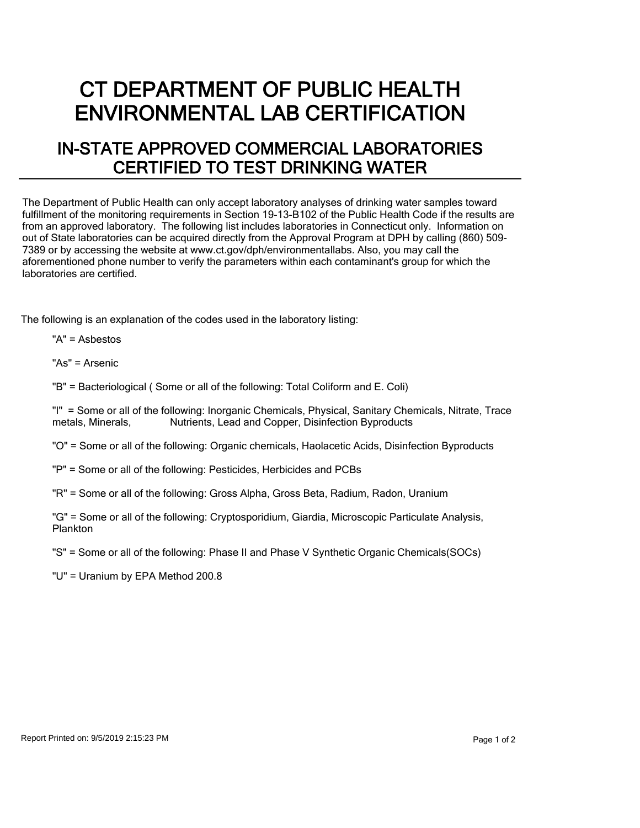## CT DEPARTMENT OF PUBLIC HEALTH ENVIRONMENTAL LAB CERTIFICATION

## IN-STATE APPROVED COMMERCIAL LABORATORIES CERTIFIED TO TEST DRINKING WATER

The Department of Public Health can only accept laboratory analyses of drinking water samples toward fulfillment of the monitoring requirements in Section 19-13-B102 of the Public Health Code if the results are from an approved laboratory. The following list includes laboratories in Connecticut only. Information on out of State laboratories can be acquired directly from the Approval Program at DPH by calling (860) 509- 7389 or by accessing the website at www.ct.gov/dph/environmentallabs. Also, you may call the aforementioned phone number to verify the parameters within each contaminant's group for which the laboratories are certified.

The following is an explanation of the codes used in the laboratory listing:

"A" = Asbestos

"As" = Arsenic

"B" = Bacteriological ( Some or all of the following: Total Coliform and E. Coli)

"I" = Some or all of the following: Inorganic Chemicals, Physical, Sanitary Chemicals, Nitrate, Trace metals. Minerals. Nutrients. Lead and Copper. Disinfection Byproducts Nutrients, Lead and Copper, Disinfection Byproducts

"O" = Some or all of the following: Organic chemicals, Haolacetic Acids, Disinfection Byproducts

"P" = Some or all of the following: Pesticides, Herbicides and PCBs

"R" = Some or all of the following: Gross Alpha, Gross Beta, Radium, Radon, Uranium

"G" = Some or all of the following: Cryptosporidium, Giardia, Microscopic Particulate Analysis, Plankton

"S" = Some or all of the following: Phase II and Phase V Synthetic Organic Chemicals(SOCs)

"U" = Uranium by EPA Method 200.8